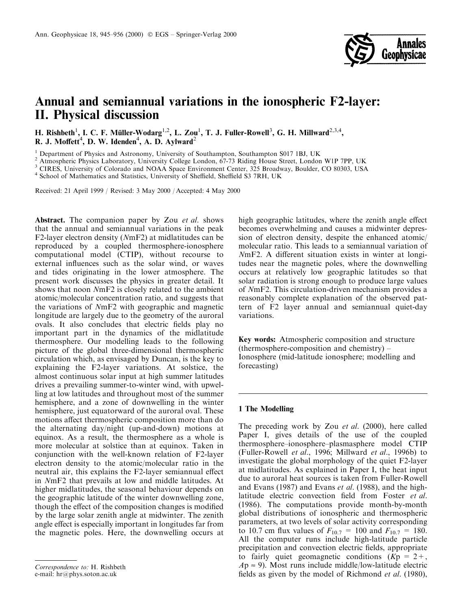

# Annual and semiannual variations in the ionospheric F2-layer: **II. Physical discussion**

H. Rishbeth<sup>1</sup>, I. C. F. Müller-Wodarg<sup>1,2</sup>, L. Zou<sup>1</sup>, T. J. Fuller-Rowell<sup>3</sup>, G. H. Millward<sup>2,3,4</sup>, R. J. Moffett<sup>4</sup>, D. W. Idenden<sup>4</sup>, A. D. Aylward<sup>2</sup>

<sup>1</sup> Department of Physics and Astronomy, University of Southampton, Southampton S017 1BJ, UK

<sup>2</sup> Atmospheric Physics Laboratory, University College London, 67-73 Riding House Street, London W1P 7PP, UK

<sup>3</sup> CIRES, University of Colorado and NOAA Space Environment Center, 325 Broadway, Boulder, CO 80303, USA

<sup>4</sup> School of Mathematics and Statistics, University of Sheffield, Sheffield S3 7RH, UK

Received: 21 April 1999 / Revised: 3 May 2000 / Accepted: 4 May 2000

**Abstract.** The companion paper by Zou *et al.* shows that the annual and semiannual variations in the peak F2-layer electron density (NmF2) at midlatitudes can be reproduced by a coupled thermosphere-ionosphere computational model (CTIP), without recourse to external influences such as the solar wind, or waves and tides originating in the lower atmosphere. The present work discusses the physics in greater detail. It shows that noon NmF2 is closely related to the ambient atomic/molecular concentration ratio, and suggests that the variations of NmF2 with geographic and magnetic longitude are largely due to the geometry of the auroral ovals. It also concludes that electric fields play no important part in the dynamics of the midlatitude thermosphere. Our modelling leads to the following picture of the global three-dimensional thermospheric circulation which, as envisaged by Duncan, is the key to explaining the F2-layer variations. At solstice, the almost continuous solar input at high summer latitudes drives a prevailing summer-to-winter wind, with upwelling at low latitudes and throughout most of the summer hemisphere, and a zone of downwelling in the winter hemisphere, just equatorward of the auroral oval. These motions affect thermospheric composition more than do the alternating day/night (up-and-down) motions at equinox. As a result, the thermosphere as a whole is more molecular at solstice than at equinox. Taken in conjunction with the well-known relation of F2-layer electron density to the atomic/molecular ratio in the neutral air, this explains the F2-layer semiannual effect in NmF2 that prevails at low and middle latitudes. At higher midlatitudes, the seasonal behaviour depends on the geographic latitude of the winter downwelling zone, though the effect of the composition changes is modified by the large solar zenith angle at midwinter. The zenith angle effect is especially important in longitudes far from the magnetic poles. Here, the downwelling occurs at

high geographic latitudes, where the zenith angle effect becomes overwhelming and causes a midwinter depression of electron density, despite the enhanced atomic/ molecular ratio. This leads to a semiannual variation of NmF2. A different situation exists in winter at longitudes near the magnetic poles, where the downwelling occurs at relatively low geographic latitudes so that solar radiation is strong enough to produce large values of NmF2. This circulation-driven mechanism provides a reasonably complete explanation of the observed pattern of F2 layer annual and semiannual quiet-day variations.

Key words: Atmospheric composition and structure (thermosphere-composition and chemistry) – Ionosphere (mid-latitude ionosphere; modelling and forecasting)

# 1 The Modelling

The preceding work by Zou et al. (2000), here called Paper I, gives details of the use of the coupled thermosphere–ionosphere–plasmasphere model CTIP (Fuller-Rowell *et al.*, 1996; Millward *et al.*, 1996b) to investigate the global morphology of the quiet F2-layer at midlatitudes. As explained in Paper I, the heat input due to auroral heat sources is taken from Fuller-Rowell and Evans (1987) and Evans et al. (1988), and the highlatitude electric convection field from Foster et al. (1986). The computations provide month-by-month global distributions of ionospheric and thermospheric parameters, at two levels of solar activity corresponding to 10.7 cm flux values of  $F_{10.7} = 100$  and  $F_{10.7} = 180$ . All the computer runs include high-latitude particle precipitation and convection electric fields, appropriate to fairly quiet geomagnetic conditions  $(Kp = 2 +$ ,  $Ap \approx 9$ ). Most runs include middle/low-latitude electric fields as given by the model of Richmond *et al.* (1980),

Correspondence to: H. Rishbeth

e-mail: hr@phys.soton.ac.uk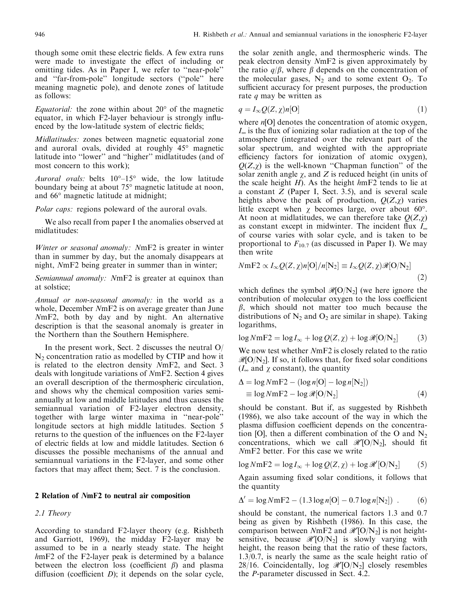though some omit these electric fields. A few extra runs were made to investigate the effect of including or omitting tides. As in Paper I, we refer to "near-pole" and "far-from-pole" longitude sectors ("pole" here meaning magnetic pole), and denote zones of latitude as follows:

*Equatorial:* the zone within about  $20^{\circ}$  of the magnetic equator, in which F2-layer behaviour is strongly influenced by the low-latitude system of electric fields;

Midlatitudes: zones between magnetic equatorial zone and auroral ovals, divided at roughly 45° magnetic latitude into "lower" and "higher" midlatitudes (and of most concern to this work);

Auroral ovals: belts  $10^{\circ} - 15^{\circ}$  wide, the low latitude boundary being at about 75° magnetic latitude at noon, and 66° magnetic latitude at midnight;

Polar caps: regions poleward of the auroral ovals.

We also recall from paper I the anomalies observed at midlatitudes:

Winter or seasonal anomaly: NmF2 is greater in winter than in summer by day, but the anomaly disappears at night, NmF2 being greater in summer than in winter;

Semiannual anomaly: NmF2 is greater at equinox than at solstice;

Annual or non-seasonal anomaly: in the world as a whole, December NmF2 is on average greater than June NmF2, both by day and by night. An alternative description is that the seasonal anomaly is greater in the Northern than the Southern Hemisphere.

In the present work, Sect. 2 discusses the neutral  $O/$  $N_2$  concentration ratio as modelled by CTIP and how it is related to the electron density NmF2, and Sect. 3 deals with longitude variations of NmF2. Section 4 gives an overall description of the thermospheric circulation, and shows why the chemical composition varies semiannually at low and middle latitudes and thus causes the semiannual variation of F2-layer electron density, together with large winter maxima in "near-pole" longitude sectors at high middle latitudes. Section 5 returns to the question of the influences on the F2-layer of electric fields at low and middle latitudes. Section 6 discusses the possible mechanisms of the annual and semiannual variations in the F2-layer, and some other factors that may affect them; Sect. 7 is the conclusion.

## 2 Relation of NmF2 to neutral air composition

2.1 Theory

According to standard F2-layer theory (e.g. Rishbeth and Garriott, 1969), the midday F2-layer may be assumed to be in a nearly steady state. The height hmF2 of the F2-layer peak is determined by a balance between the electron loss (coefficient  $\beta$ ) and plasma diffusion (coefficient  $D$ ); it depends on the solar cycle,

the solar zenith angle, and thermospheric winds. The peak electron density NmF2 is given approximately by the ratio  $q/\beta$ , where  $\beta$  depends on the concentration of the molecular gases,  $N_2$  and to some extent  $O_2$ . To sufficient accuracy for present purposes, the production rate  $q$  may be written as

$$
q = I_{\infty} Q(Z, \chi) n[\mathcal{O}] \tag{1}
$$

where  $n[O]$  denotes the concentration of atomic oxygen,  $I_{\infty}$  is the flux of ionizing solar radiation at the top of the atmosphere (integrated over the relevant part of the solar spectrum, and weighted with the appropriate efficiency factors for ionization of atomic oxygen),  $Q(Z, \chi)$  is the well-known "Chapman function" of the solar zenith angle  $\chi$ , and Z is reduced height (in units of the scale height  $H$ ). As the height  $h$ mF2 tends to lie at a constant  $Z$  (Paper I, Sect. 3.5), and is several scale heights above the peak of production,  $O(Z, \gamma)$  varies little except when  $\chi$  becomes large, over about 60 $^{\circ}$ . At noon at midlatitudes, we can therefore take  $Q(Z, \chi)$ as constant except in midwinter. The incident flux  $I_{\infty}$ of course varies with solar cycle, and is taken to be proportional to  $F_{10.7}$  (as discussed in Paper I). We may then write

$$
NmF2 \propto I_{\infty}Q(Z,\chi)n[O]/n[N_2] \equiv I_{\infty}Q(Z,\chi)\mathcal{R}[O/N_2]
$$
\n(2)

which defines the symbol  $\mathcal{R}[\text{O/N}_2]$  (we here ignore the contribution of molecular oxygen to the loss coefficient  $\beta$ , which should not matter too much because the distributions of  $N_2$  and  $O_2$  are similar in shape). Taking logarithms,

$$
\log NmF2 = \log I_{\infty} + \log Q(Z, \chi) + \log \mathcal{R}[O/N_2]
$$
 (3)

We now test whether NmF2 is closely related to the ratio  $\mathcal{R}[\text{O/N}_2]$ . If so, it follows that, for fixed solar conditions ( $I_{\infty}$  and  $\chi$  constant), the quantity

$$
\Delta = \log NmF2 - (\log n[O] - \log n[N_2])
$$
  
\n
$$
\equiv \log NmF2 - \log \mathcal{R}[O/N_2]
$$
\n(4)

should be constant. But if, as suggested by Rishbeth (1986), we also take account of the way in which the plasma diffusion coefficient depends on the concentration [O], then a different combination of the O and  $N_2$ concentrations, which we call  $\mathcal{R}'[O/N_2]$ , should fit NmF<sub>2</sub> better. For this case we write

$$
\log NmF2 = \log I_{\infty} + \log Q(Z, \chi) + \log \mathcal{R}'[O/N_2]
$$
 (5)

Again assuming fixed solar conditions, it follows that the quantity

$$
\Delta' = \log NmF2 - (1.3\log n[O] - 0.7\log n[N_2]) . \qquad (6)
$$

should be constant, the numerical factors 1.3 and 0.7 being as given by Rishbeth (1986). In this case, the comparison between  $NmF2$  and  $\mathcal{R}'[O/N_2]$  is not heightsensitive, because  $\mathcal{R}'[O/N_2]$  is slowly varying with height, the reason being that the ratio of these factors,  $1.3/0.7$ , is nearly the same as the scale height ratio of 28/16. Coincidentally, log  $\mathcal{R}'[O/N_2]$  closely resembles the *P*-parameter discussed in Sect. 4.2.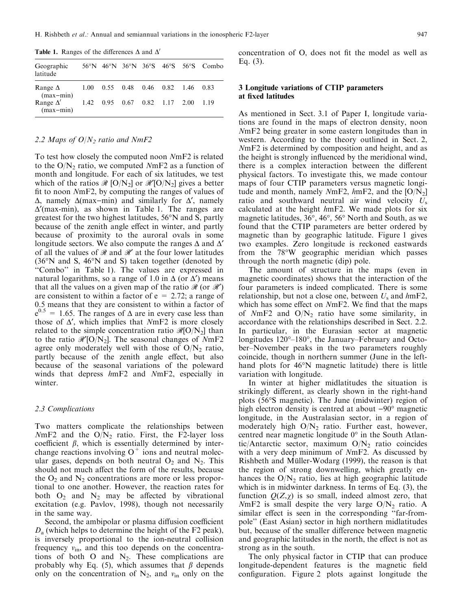**Table 1.** Ranges of the differences  $\Delta$  and  $\Delta'$ 

| Geographic<br>latitude                                             |  |  |                                                               | 56°N 46°N 36°N 36°S 46°S 56°S Combo |
|--------------------------------------------------------------------|--|--|---------------------------------------------------------------|-------------------------------------|
| Range $\Delta$ 1.00 0.55 0.48 0.46 0.82 1.46 0.83<br>$(max - min)$ |  |  |                                                               |                                     |
| Range $\Delta'$<br>$(max - min)$                                   |  |  | $1.42 \quad 0.95 \quad 0.67 \quad 0.82 \quad 1.17 \quad 2.00$ | - 1.19                              |

#### 2.2 Maps of  $O/N<sub>2</sub>$  ratio and NmF2

To test how closely the computed noon NmF2 is related to the  $O/N_2$  ratio, we computed NmF2 as a function of month and longitude. For each of six latitudes, we test which of the ratios  $\Re$  [O/N<sub>2</sub>] or  $\Re$  [O/N<sub>2</sub>] gives a better fit to noon NmF2, by computing the ranges of values of  $\Delta$ , namely  $\Delta$ (max-min) and similarly for  $\Delta'$ , namely  $\Delta'$ (max-min), as shown in Table 1. The ranges are greatest for the two highest latitudes, 56°N and S, partly because of the zenith angle effect in winter, and partly because of proximity to the auroral ovals in some longitude sectors. We also compute the ranges  $\Delta$  and  $\Delta'$ of all the values of  $\mathcal{R}$  and  $\mathcal{R}'$  at the four lower latitudes  $(36°N$  and S,  $46°N$  and S) taken together (denoted by "Combo" in Table 1). The values are expressed in natural logarithms, so a range of 1.0 in  $\Delta$  (or  $\Delta'$ ) means that all the values on a given map of the ratio  $\mathcal{R}$  (or  $\mathcal{R}'$ ) are consistent to within a factor of  $e = 2.72$ ; a range of 0.5 means that they are consistent to within a factor of  $e^{0.5}$  = 1.65. The ranges of  $\Delta$  are in every case less than those of  $\Delta'$ , which implies that  $NmF2$  is more closely related to the simple concentration ratio  $\mathcal{R}[\text{O/N}_2]$  than to the ratio  $\mathcal{R}'[O/N_2]$ . The seasonal changes of NmF2 agree only moderately well with those of  $O/N_2$  ratio, partly because of the zenith angle effect, but also because of the seasonal variations of the poleward winds that depress hmF2 and NmF2, especially in winter.

#### 2.3 Complications

Two matters complicate the relationships between  $NmF2$  and the  $O/N<sub>2</sub>$  ratio. First, the F2-layer loss coefficient  $\beta$ , which is essentially determined by interchange reactions involving  $O<sup>+</sup>$  ions and neutral molecular gases, depends on both neutral  $O_2$  and  $N_2$ . This should not much affect the form of the results, because the  $O_2$  and  $N_2$  concentrations are more or less proportional to one another. However, the reaction rates for both  $O_2$  and  $N_2$  may be affected by vibrational excitation (e.g. Pavlov, 1998), though not necessarily in the same way.

Second, the ambipolar or plasma diffusion coefficient  $D_a$  (which helps to determine the height of the F2 peak), is inversely proportional to the ion-neutral collision frequency  $v_{\text{in}}$ , and this too depends on the concentrations of both O and  $N_2$ . These complications are probably why Eq. (5), which assumes that  $\beta$  depends only on the concentration of  $N_2$ , and  $v_{in}$  only on the concentration of O, does not fit the model as well as Eq.  $(3)$ .

## 3 Longitude variations of CTIP parameters at fixed latitudes

As mentioned in Sect. 3.1 of Paper I, longitude variations are found in the maps of electron density, noon NmF2 being greater in some eastern longitudes than in western. According to the theory outlined in Sect. 2, NmF2 is determined by composition and height, and as the height is strongly influenced by the meridional wind, there is a complex interaction between the different physical factors. To investigate this, we made contour maps of four CTIP parameters versus magnetic longitude and month, namely  $NmF2$ , hmF2, and the [O/N<sub>2</sub>] ratio and southward neutral air wind velocity  $U_s$ calculated at the height hmF2. We made plots for six magnetic latitudes, 36°, 46°, 56° North and South, as we found that the CTIP parameters are better ordered by magnetic than by geographic latitude. Figure 1 gives two examples. Zero longitude is reckoned eastwards from the 78°W geographic meridian which passes through the north magnetic (dip) pole.

The amount of structure in the maps (even in magnetic coordinates) shows that the interaction of the four parameters is indeed complicated. There is some relationship, but not a close one, between  $U_s$  and  $h$ mF2, which has some effect on *NmF2*. We find that the maps of  $NmF2$  and  $O/N<sub>2</sub>$  ratio have some similarity, in accordance with the relationships described in Sect. 2.2. In particular, in the Eurasian sector at magnetic longitudes 120°–180°, the January–February and October-November peaks in the two parameters roughly coincide, though in northern summer (June in the lefthand plots for 46°N magnetic latitude) there is little variation with longitude.

In winter at higher midlatitudes the situation is strikingly different, as clearly shown in the right-hand plots (56°S magnetic). The June (midwinter) region of high electron density is centred at about  $-90^\circ$  magnetic longitude, in the Australasian sector, in a region of moderately high  $O/N_2$  ratio. Further east, however, centred near magnetic longitude  $0^{\circ}$  in the South Atlantic/Antarctic sector, maximum  $O/N_2$  ratio coincides with a very deep minimum of NmF2. As discussed by Rishbeth and Müller-Wodarg (1999), the reason is that the region of strong downwelling, which greatly enhances the  $O/N_2$  ratio, lies at high geographic latitude which is in midwinter darkness. In terms of Eq.  $(3)$ , the function  $Q(Z, \chi)$  is so small, indeed almost zero, that NmF2 is small despite the very large  $O/N_2$  ratio. A similar effect is seen in the corresponding "far-frompole" (East Asian) sector in high northern midlatitudes but, because of the smaller difference between magnetic and geographic latitudes in the north, the effect is not as strong as in the south.

The only physical factor in CTIP that can produce longitude-dependent features is the magnetic field configuration. Figure 2 plots against longitude the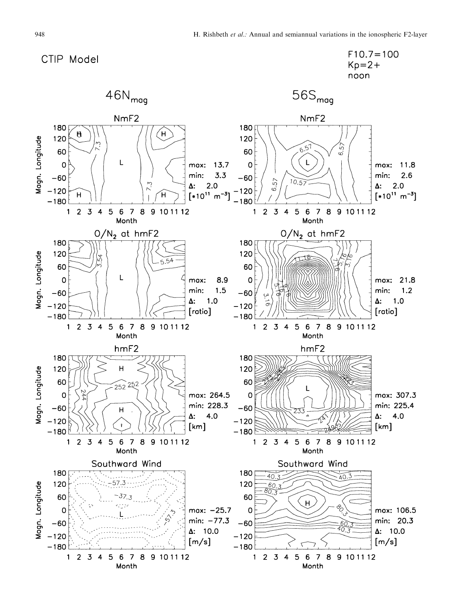CTIP Model



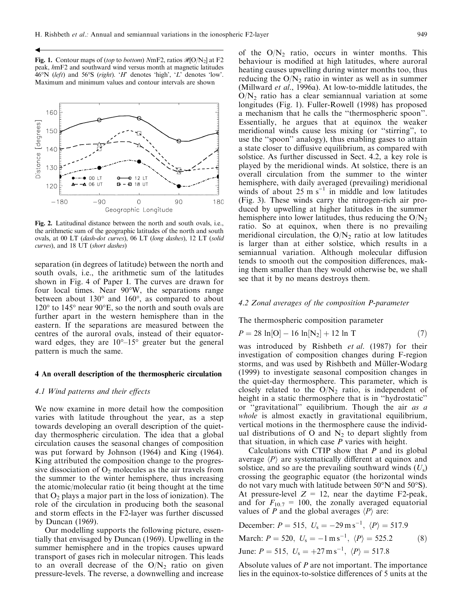Fig. 1. Contour maps of (top to bottom) NmF2, ratios  $\mathcal{R}[O/N_2]$  at F2 peak, hmF2 and southward wind versus month at magnetic latitudes 46°N (left) and 56°S (right). 'H' denotes 'high', 'L' denotes 'low'. Maximum and minimum values and contour intervals are shown



Fig. 2. Latitudinal distance between the north and south ovals, i.e., the arithmetic sum of the geographic latitudes of the north and south ovals, at 00 LT (dash-dot curves), 06 LT (long dashes), 12 LT (solid curves), and 18 UT (short dashes)

separation (in degrees of latitude) between the north and south ovals, *i.e.*, the arithmetic sum of the latitudes shown in Fig. 4 of Paper I. The curves are drawn for four local times. Near 90°W, the separations range between about 130° and 160°, as compared to about  $120^{\circ}$  to  $145^{\circ}$  near 90 $^{\circ}$ E, so the north and south ovals are further apart in the western hemisphere than in the eastern. If the separations are measured between the centres of the auroral ovals, instead of their equatorward edges, they are  $10^{\circ}$ -15° greater but the general pattern is much the same.

#### 4 An overall description of the thermospheric circulation

## 4.1 Wind patterns and their effects

We now examine in more detail how the composition varies with latitude throughout the year, as a step towards developing an overall description of the quietday thermospheric circulation. The idea that a global circulation causes the seasonal changes of composition was put forward by Johnson  $(1964)$  and King  $(1964)$ . King attributed the composition change to the progressive dissociation of  $O_2$  molecules as the air travels from the summer to the winter hemisphere, thus increasing the atomic/molecular ratio (it being thought at the time that  $O_2$  plays a major part in the loss of ionization). The role of the circulation in producing both the seasonal and storm effects in the F2-layer was further discussed by Duncan  $(1969)$ .

Our modelling supports the following picture, essentially that envisaged by Duncan (1969). Upwelling in the summer hemisphere and in the tropics causes upward transport of gases rich in molecular nitrogen. This leads to an overall decrease of the  $O/N_2$  ratio on given pressure-levels. The reverse, a downwelling and increase of the  $O/N_2$  ratio, occurs in winter months. This behaviour is modified at high latitudes, where auroral heating causes upwelling during winter months too, thus reducing the  $O/N_2$  ratio in winter as well as in summer (Millward et al., 1996a). At low-to-middle latitudes, the  $O/N<sub>2</sub>$  ratio has a clear semiannual variation at some longitudes (Fig. 1). Fuller-Rowell (1998) has proposed a mechanism that he calls the "thermospheric spoon". Essentially, he argues that at equinox the weaker meridional winds cause less mixing (or "stirring", to use the "spoon" analogy), thus enabling gases to attain a state closer to diffusive equilibrium, as compared with solstice. As further discussed in Sect. 4.2, a key role is played by the meridional winds. At solstice, there is an overall circulation from the summer to the winter hemisphere, with daily averaged (prevailing) meridional winds of about  $25 \text{ m s}^{-1}$  in middle and low latitudes (Fig. 3). These winds carry the nitrogen-rich air produced by upwelling at higher latitudes in the summer hemisphere into lower latitudes, thus reducing the  $O/N_2$ ratio. So at equinox, when there is no prevailing meridional circulation, the  $O/N<sub>2</sub>$  ratio at low latitudes is larger than at either solstice, which results in a semiannual variation. Although molecular diffusion tends to smooth out the composition differences, making them smaller than they would otherwise be, we shall see that it by no means destroys them.

#### 4.2 Zonal averages of the composition P-parameter

The thermospheric composition parameter

$$
P = 28 \ln[\text{O}] - 16 \ln[\text{N}_2] + 12 \ln \text{T} \tag{7}
$$

was introduced by Rishbeth et al. (1987) for their investigation of composition changes during F-region storms, and was used by Rishbeth and Müller-Wodarg (1999) to investigate seasonal composition changes in the quiet-day thermosphere. This parameter, which is closely related to the  $O/N_2$  ratio, is independent of height in a static thermosphere that is in "hydrostatic" or "gravitational" equilibrium. Though the air as a *whole* is almost exactly in gravitational equilibrium, vertical motions in the thermosphere cause the individual distributions of O and  $N_2$  to depart slightly from that situation, in which case  $P$  varies with height.

Calculations with CTIP show that  $P$  and its global average  $\langle P \rangle$  are systematically different at equinox and solstice, and so are the prevailing southward winds  $(U_s)$ crossing the geographic equator (the horizontal winds do not vary much with latitude between 50°N and 50°S). At pressure-level  $Z = 12$ , near the daytime F2-peak, and for  $F_{10.7} = 100$ , the zonally averaged equatorial values of P and the global averages  $\langle P \rangle$  are:

December: 
$$
P = 515
$$
,  $U_s = -29 \text{ m s}^{-1}$ ,  $\langle P \rangle = 517.9$   
March:  $P = 520$ ,  $U_s = -1 \text{ m s}^{-1}$ ,  $\langle P \rangle = 525.2$  (8)  
June:  $P = 515$ ,  $U_s = +27 \text{ m s}^{-1}$ ,  $\langle P \rangle = 517.8$ 

Absolute values of  $P$  are not important. The importance lies in the equinox-to-solstice differences of 5 units at the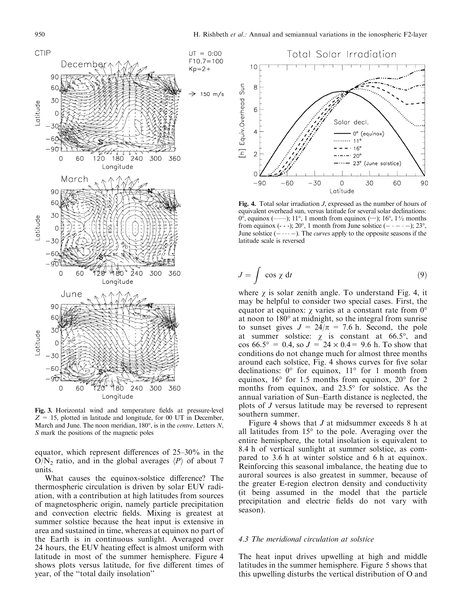

Fig. 3. Horizontal wind and temperature fields at pressure-level  $Z = 15$ , plotted in latitude and longitude, for 00 UT in December, March and June. The noon meridian,  $180^\circ$ , is in the *centre*. Letters N, S mark the positions of the magnetic poles

equator, which represent differences of  $25-30\%$  in the  $O/N_2$  ratio, and in the global averages  $\langle P \rangle$  of about 7 units.

What causes the equinox-solstice difference? The thermospheric circulation is driven by solar EUV radiation, with a contribution at high latitudes from sources of magnetospheric origin, namely particle precipitation and convection electric fields. Mixing is greatest at summer solstice because the heat input is extensive in area and sustained in time, whereas at equinox no part of the Earth is in continuous sunlight. Averaged over 24 hours, the EUV heating effect is almost uniform with latitude in most of the summer hemisphere. Figure 4 shows plots versus latitude, for five different times of year, of the "total daily insolation"



Fig. 4. Total solar irradiation  $J$ , expressed as the number of hours of equivalent overhead sun, versus latitude for several solar declinations: from equinox (- - -); 20°, 1 month from June solstice (-  $\cdot$  -  $\cdot$  -); 23°, June solstice  $(- \cdots -)$ . The *curves* apply to the opposite seasons if the latitude scale is reversed

$$
J = \int \cos \chi \, dt \tag{9}
$$

where  $\chi$  is solar zenith angle. To understand Fig. 4, it may be helpful to consider two special cases. First, the equator at equinox:  $\chi$  varies at a constant rate from  $0^{\circ}$ at noon to  $180^\circ$  at midnight, so the integral from sunrise to sunset gives  $J = 24/\pi = 7.6$  h. Second, the pole at summer solstice:  $\chi$  is constant at 66.5°, and<br>cos 66.5° = 0.4, so  $J = 24 \times 0.4 = 9.6$  h. To show that conditions do not change much for almost three months around each solstice, Fig. 4 shows curves for five solar declinations:  $0^{\circ}$  for equinox,  $11^{\circ}$  for 1 month from equinox,  $16^{\circ}$  for 1.5 months from equinox,  $20^{\circ}$  for 2 months from equinox, and 23.5° for solstice. As the annual variation of Sun–Earth distance is neglected, the plots of J versus latitude may be reversed to represent southern summer.

Figure 4 shows that *J* at midsummer exceeds 8 h at all latitudes from  $15^{\circ}$  to the pole. Averaging over the entire hemisphere, the total insolation is equivalent to 8.4 h of vertical sunlight at summer solstice, as compared to 3.6 h at winter solstice and 6 h at equinox. Reinforcing this seasonal imbalance, the heating due to auroral sources is also greatest in summer, because of the greater E-region electron density and conductivity (it being assumed in the model that the particle precipitation and electric fields do not vary with season).

# 4.3 The meridional circulation at solstice

The heat input drives upwelling at high and middle latitudes in the summer hemisphere. Figure 5 shows that this upwelling disturbs the vertical distribution of O and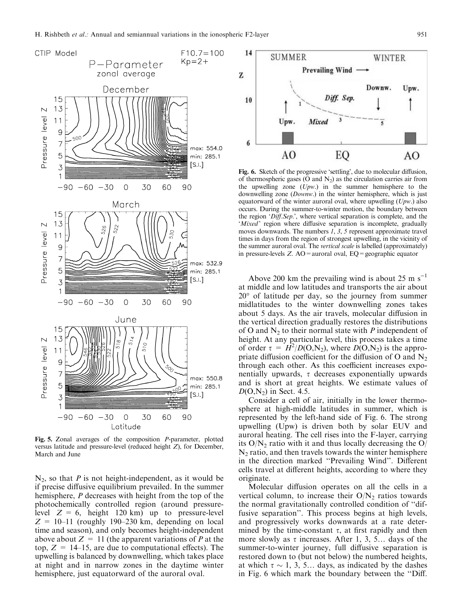

Fig. 5. Zonal averages of the composition P-parameter, plotted versus latitude and pressure-level (reduced height  $Z$ ), for December, March and June

 $N_2$ , so that P is not height-independent, as it would be if precise diffusive equilibrium prevailed. In the summer hemisphere,  $P$  decreases with height from the top of the photochemically controlled region (around pressurelevel  $Z = 6$ , height 120 km) up to pressure-level  $Z = 10-11$  (roughly 190-230 km, depending on local time and season), and only becomes height-independent above about  $Z = 11$  (the apparent variations of P at the top,  $Z = 14{\text -}15$ , are due to computational effects). The upwelling is balanced by downwelling, which takes place at night and in narrow zones in the daytime winter hemisphere, just equatorward of the auroral oval.



Fig. 6. Sketch of the progressive 'settling', due to molecular diffusion, of thermospheric gases (O and  $N_2$ ) as the circulation carries air from the upwelling zone  $(Upw)$  in the summer hemisphere to the downwelling zone (Downw.) in the winter hemisphere, which is just equatorward of the winter auroral oval, where upwelling  $(Upw)$  also occurs. During the summer-to-winter motion, the boundary between the region 'Diff.Sep.', where vertical separation is complete, and the 'Mixed' region where diffusive separation is incomplete, gradually moves downwards. The numbers  $1, 3, 5$  represent approximate travel times in days from the region of strongest upwelling, in the vicinity of the summer auroral oval. The vertical scale is labelled (approximately) in pressure-levels  $Z$ . AO = auroral oval, EQ = geographic equator

Above 200 km the prevailing wind is about 25 m  $s^{-1}$ at middle and low latitudes and transports the air about  $20^{\circ}$  of latitude per day, so the journey from summer midlatitudes to the winter downwelling zones takes about 5 days. As the air travels, molecular diffusion in the vertical direction gradually restores the distributions of O and  $N_2$  to their normal state with P independent of height. At any particular level, this process takes a time of order  $\tau = H^2/D(O, N_2)$ , where  $D(O, N_2)$  is the appropriate diffusion coefficient for the diffusion of O and  $N_2$ through each other. As this coefficient increases exponentially upwards,  $\tau$  decreases exponentially upwards and is short at great heights. We estimate values of  $D(O, N_2)$  in Sect. 4.5.

Consider a cell of air, initially in the lower thermosphere at high-middle latitudes in summer, which is represented by the left-hand side of Fig. 6. The strong upwelling (Upw) is driven both by solar EUV and auroral heating. The cell rises into the F-layer, carrying its  $O/N_2$  ratio with it and thus locally decreasing the  $O/$  $N_2$  ratio, and then travels towards the winter hemisphere in the direction marked "Prevailing Wind". Different cells travel at different heights, according to where they originate.

Molecular diffusion operates on all the cells in a vertical column, to increase their  $O/N_2$  ratios towards the normal gravitationally controlled condition of "diffusive separation". This process begins at high levels, and progressively works downwards at a rate determined by the time-constant  $\tau$ , at first rapidly and then more slowly as  $\tau$  increases. After 1, 3, 5... days of the summer-to-winter journey, full diffusive separation is restored down to (but not below) the numbered heights, at which  $\tau \sim 1$ , 3, 5... days, as indicated by the dashes in Fig. 6 which mark the boundary between the "Diff.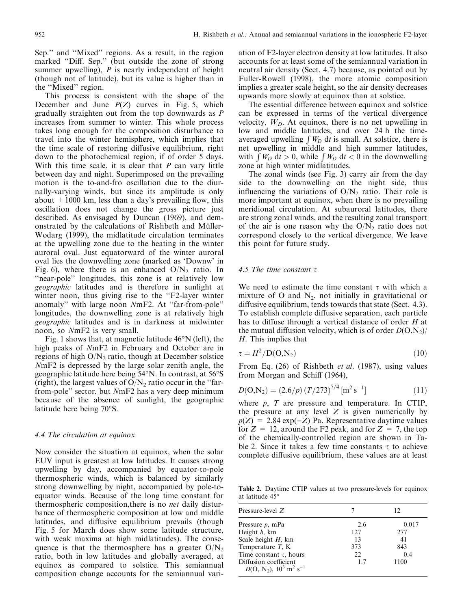Sep." and "Mixed" regions. As a result, in the region marked "Diff. Sep." (but outside the zone of strong summer upwelling),  $P$  is nearly independent of height (though not of latitude), but its value is higher than in the "Mixed" region.

This process is consistent with the shape of the December and June  $P(Z)$  curves in Fig. 5, which gradually straighten out from the top downwards as  $P$ increases from summer to winter. This whole process takes long enough for the composition disturbance to travel into the winter hemisphere, which implies that the time scale of restoring diffusive equilibrium, right down to the photochemical region, if of order 5 days. With this time scale, it is clear that  $P$  can vary little between day and night. Superimposed on the prevailing motion is the to-and-fro oscillation due to the diurnally-varying winds, but since its amplitude is only about  $\pm 1000$  km, less than a day's prevailing flow, this oscillation does not change the gross picture just described. As envisaged by Duncan (1969), and demonstrated by the calculations of Rishbeth and Müller-Wodarg (1999), the midlatitude circulation terminates at the upwelling zone due to the heating in the winter auroral oval. Just equatorward of the winter auroral oval lies the downwelling zone (marked as 'Downw' in Fig. 6), where there is an enhanced  $O/N_2$  ratio. In "near-pole" longitudes, this zone is at relatively low *geographic* latitudes and is therefore in sunlight at winter noon, thus giving rise to the "F2-layer winter" anomaly" with large noon NmF2. At "far-from-pole" longitudes, the downwelling zone is at relatively high *geographic* latitudes and is in darkness at midwinter noon, so NmF2 is very small.

Fig. 1 shows that, at magnetic latitude  $46^{\circ}N$  (left), the high peaks of NmF2 in February and October are in regions of high  $O/N_2$  ratio, though at December solstice NmF2 is depressed by the large solar zenith angle, the geographic latitude here being 54°N. In contrast, at 56°S (right), the largest values of  $O/N_2$  ratio occur in the "farfrom-pole" sector, but NmF2 has a very deep minimum because of the absence of sunlight, the geographic latitude here being  $70^{\circ}$ S.

#### 4.4 The circulation at equinox

Now consider the situation at equinox, when the solar EUV input is greatest at low latitudes. It causes strong upwelling by day, accompanied by equator-to-pole thermospheric winds, which is balanced by similarly strong downwelling by night, accompanied by pole-toequator winds. Because of the long time constant for thermospheric composition, there is no *net* daily disturbance of thermospheric composition at low and middle latitudes, and diffusive equilibrium prevails (though Fig. 5 for March does show some latitude structure, with weak maxima at high midlatitudes). The consequence is that the thermosphere has a greater  $O/N_2$ ratio, both in low latitudes and globally averaged, at equinox as compared to solstice. This semiannual composition change accounts for the semiannual variation of F2-layer electron density at low latitudes. It also accounts for at least some of the semiannual variation in neutral air density (Sect. 4.7) because, as pointed out by Fuller-Rowell (1998), the more atomic composition implies a greater scale height, so the air density decreases upwards more slowly at equinox than at solstice.

The essential difference between equinox and solstice can be expressed in terms of the vertical divergence velocity,  $W_D$ . At equinox, there is no net upwelling in low and middle latitudes, and over 24 h the timeaveraged upwelling  $\int W_D \, dt$  is small. At solstice, there is net upwelling in middle and high summer latitudes, with  $\int W_D \, dt > 0$ , while  $\int W_D \, dt < 0$  in the downwelling zone at high winter midlatitudes.

The zonal winds (see Fig. 3) carry air from the day side to the downwelling on the night side, thus influencing the variations of  $O/N_2$  ratio. Their role is more important at equinox, when there is no prevailing meridional circulation. At subauroral latitudes, there are strong zonal winds, and the resulting zonal transport of the air is one reason why the  $O/N_2$  ratio does not correspond closely to the vertical divergence. We leave this point for future study.

## 4.5 The time constant  $\tau$

We need to estimate the time constant  $\tau$  with which a mixture of O and  $N_2$ , not initially in gravitational or diffusive equilibrium, tends towards that state (Sect. 4.3). To establish complete diffusive separation, each particle has to diffuse through a vertical distance of order  $H$  at the mutual diffusion velocity, which is of order  $D(O, N_2)$  $H$ . This implies that

$$
\tau = H^2 / \mathcal{D}(\mathcal{O}, \mathcal{N}_2) \tag{10}
$$

From Eq. (26) of Rishbeth et al. (1987), using values from Morgan and Schiff (1964),

$$
D(O, N_2) = (2.6/p) (T/273)^{7/4} [m^2 s^{-1}]
$$
\n(11)

where  $p$ ,  $T$  are pressure and temperature. In CTIP, the pressure at any level  $Z$  is given numerically by  $p(Z) = 2.84 \exp(-Z)$  Pa. Representative daytime values for  $Z = 12$ , around the F2 peak, and for  $Z = 7$ , the top of the chemically-controlled region are shown in Table 2. Since it takes a few time constants  $\tau$  to achieve complete diffusive equilibrium, these values are at least

Table 2. Daytime CTIP values at two pressure-levels for equinox at latitude 45°

| Pressure-level $Z$                                                    |     | 12    |
|-----------------------------------------------------------------------|-----|-------|
| Pressure $p$ , mPa                                                    | 2.6 | 0.017 |
| Height $h$ , km                                                       | 127 | 277   |
| Scale height $H$ , km                                                 | 13  | 41    |
| Temperature $T$ , K                                                   | 373 | 843   |
| Time constant $\tau$ , hours                                          | 22. | 0.4   |
| Diffusion coefficient<br>$D(O, N_2), 10^3 \text{ m}^2 \text{ s}^{-1}$ | 1.7 | 1100  |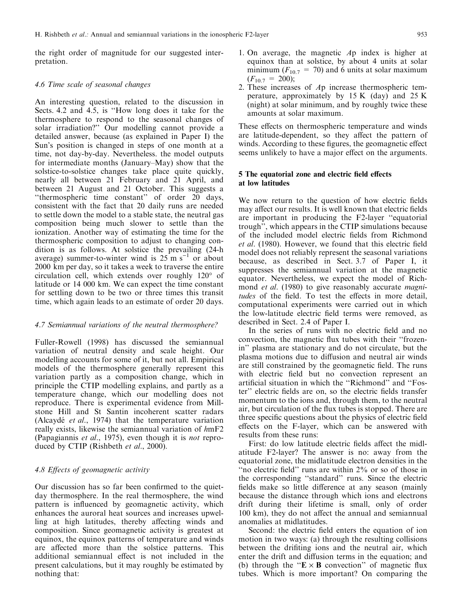the right order of magnitude for our suggested interpretation.

### 4.6 Time scale of seasonal changes

An interesting question, related to the discussion in Sects. 4.2 and 4.5, is "How long does it take for the thermosphere to respond to the seasonal changes of solar irradiation?" Our modelling cannot provide a detailed answer, because (as explained in Paper I) the Sun's position is changed in steps of one month at a time, not day-by-day. Nevertheless, the model outputs for intermediate months (January–May) show that the solstice-to-solstice changes take place quite quickly, nearly all between 21 February and 21 April, and between 21 August and 21 October. This suggests a "thermospheric time constant" of order 20 days, consistent with the fact that 20 daily runs are needed to settle down the model to a stable state, the neutral gas composition being much slower to settle than the ionization. Another way of estimating the time for the thermospheric composition to adjust to changing condition is as follows. At solstice the prevailing (24-h) average) summer-to-winter wind is  $25 \text{ m s}^{-1}$  or about 2000 km per day, so it takes a week to traverse the entire circulation cell, which extends over roughly  $120^{\circ}$  of latitude or 14 000 km. We can expect the time constant for settling down to be two or three times this transit time, which again leads to an estimate of order 20 days.

## 4.7 Semiannual variations of the neutral thermosphere?

Fuller-Rowell (1998) has discussed the semiannual variation of neutral density and scale height. Our modelling accounts for some of it, but not all. Empirical models of the thermosphere generally represent this variation partly as a composition change, which in principle the CTIP modelling explains, and partly as a temperature change, which our modelling does not reproduce. There is experimental evidence from Millstone Hill and St Santin incoherent scatter radars (Alcaydé *et al.*, 1974) that the temperature variation really exists, likewise the semiannual variation of hmF2 (Papagiannis et al., 1975), even though it is not reproduced by CTIP (Rishbeth et al., 2000).

# 4.8 Effects of geomagnetic activity

Our discussion has so far been confirmed to the quietday thermosphere. In the real thermosphere, the wind pattern is influenced by geomagnetic activity, which enhances the auroral heat sources and increases upwelling at high latitudes, thereby affecting winds and composition. Since geomagnetic activity is greatest at equinox, the equinox patterns of temperature and winds are affected more than the solstice patterns. This additional semiannual effect is not included in the present calculations, but it may roughly be estimated by nothing that:

- 1. On average, the magnetic  $Ap$  index is higher at equinox than at solstice, by about 4 units at solar minimum ( $F_{10.7}$  = 70) and 6 units at solar maximum  $(F_{10.7} = 200);$
- 2. These increases of Ap increase thermospheric temperature, approximately by  $15 K$  (day) and  $25 K$ (night) at solar minimum, and by roughly twice these amounts at solar maximum.

These effects on thermospheric temperature and winds are latitude-dependent, so they affect the pattern of winds. According to these figures, the geomagnetic effect seems unlikely to have a major effect on the arguments.

# 5 The equatorial zone and electric field effects at low latitudes

We now return to the question of how electric fields may affect our results. It is well known that electric fields are important in producing the F2-layer "equatorial trough", which appears in the CTIP simulations because of the included model electric fields from Richmond et al. (1980). However, we found that this electric field model does not reliably represent the seasonal variations because, as described in Sect. 3.7 of Paper I, it suppresses the semiannual variation at the magnetic equator. Nevertheless, we expect the model of Richmond *et al.* (1980) to give reasonably accurate *magni*tudes of the field. To test the effects in more detail, computational experiments were carried out in which the low-latitude electric field terms were removed, as described in Sect. 2.4 of Paper I.

In the series of runs with no electric field and no convection, the magnetic flux tubes with their "frozenin" plasma are stationary and do not circulate, but the plasma motions due to diffusion and neutral air winds are still constrained by the geomagnetic field. The runs with electric field but no convection represent an artificial situation in which the "Richmond" and "Foster" electric fields are on, so the electric fields transfer momentum to the ions and, through them, to the neutral air, but circulation of the flux tubes is stopped. There are three specific questions about the physics of electric field effects on the F-layer, which can be answered with results from these runs:

First: do low latitude electric fields affect the midlatitude F2-layer? The answer is no: away from the equatorial zone, the midlatitude electron densities in the "no electric field" runs are within 2% or so of those in the corresponding "standard" runs. Since the electric fields make so little difference at any season (mainly because the distance through which ions and electrons drift during their lifetime is small, only of order 100 km), they do not affect the annual and semiannual anomalies at midlatitudes.

Second: the electric field enters the equation of ion motion in two ways: (a) through the resulting collisions between the driftting ions and the neutral air, which enter the drift and diffusion terms in the equation; and (b) through the " $E \times B$  convection" of magnetic flux tubes. Which is more important? On comparing the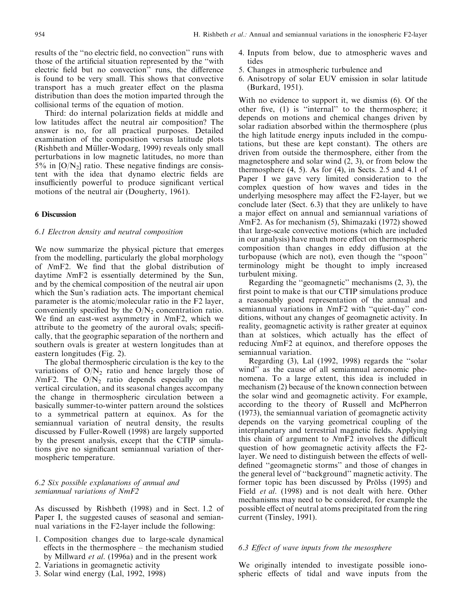results of the "no electric field, no convection" runs with those of the artificial situation represented by the "with" electric field but no convection" runs, the difference is found to be very small. This shows that convective transport has a much greater effect on the plasma distribution than does the motion imparted through the collisional terms of the equation of motion.

Third: do internal polarization fields at middle and low latitudes affect the neutral air composition? The answer is no, for all practical purposes. Detailed examination of the composition versus latitude plots (Rishbeth and Müller-Wodarg, 1999) reveals only small perturbations in low magnetic latitudes, no more than 5% in  $[O/N_2]$  ratio. These negative findings are consistent with the idea that dynamo electric fields are insufficiently powerful to produce significant vertical motions of the neutral air (Dougherty, 1961).

## **6 Discussion**

# 6.1 Electron density and neutral composition

We now summarize the physical picture that emerges from the modelling, particularly the global morphology of NmF2. We find that the global distribution of daytime NmF2 is essentially determined by the Sun, and by the chemical composition of the neutral air upon which the Sun's radiation acts. The important chemical parameter is the atomic/molecular ratio in the F2 layer, conveniently specified by the  $O/N_2$  concentration ratio. We find an east-west asymmetry in NmF2, which we attribute to the geometry of the auroral ovals; specifically, that the geographic separation of the northern and southern ovals is greater at western longitudes than at eastern longitudes (Fig. 2).

The global thermospheric circulation is the key to the variations of  $O/N<sub>2</sub>$  ratio and hence largely those of  $NmF2$ . The  $O/N_2$  ratio depends especially on the vertical circulation, and its seasonal changes accompany the change in thermospheric circulation between a basically summer-to-winter pattern around the solstices to a symmetrical pattern at equinox. As for the semiannual variation of neutral density, the results discussed by Fuller-Rowell (1998) are largely supported by the present analysis, except that the CTIP simulations give no significant semiannual variation of thermospheric temperature.

# 6.2 Six possible explanations of annual and semiannual variations of NmF2

As discussed by Rishbeth (1998) and in Sect. 1.2 of Paper I, the suggested causes of seasonal and semiannual variations in the F2-layer include the following:

- 1. Composition changes due to large-scale dynamical effects in the thermosphere  $-$  the mechanism studied by Millward et al. (1996a) and in the present work
- 2. Variations in geomagnetic activity
- 3. Solar wind energy (Lal, 1992, 1998)
- 4. Inputs from below, due to atmospheric waves and tides
- 5. Changes in atmospheric turbulence and
- 6. Anisotropy of solar EUV emission in solar latitude (Burkard, 1951).

With no evidence to support it, we dismiss (6). Of the other five, (1) is "internal" to the thermosphere; it depends on motions and chemical changes driven by solar radiation absorbed within the thermosphere (plus the high latitude energy inputs included in the computations, but these are kept constant). The others are driven from outside the thermosphere, either from the magnetosphere and solar wind  $(2, 3)$ , or from below the thermosphere  $(4, 5)$ . As for  $(4)$ , in Sects. 2.5 and 4.1 of Paper I we gave very limited consideration to the complex question of how waves and tides in the underlying mesosphere may affect the F2-layer, but we conclude later (Sect. 6.3) that they are unlikely to have a major effect on annual and semiannual variations of NmF2. As for mechanism (5), Shimazaki (1972) showed that large-scale convective motions (which are included in our analysis) have much more effect on thermospheric composition than changes in eddy diffusion at the turbopause (which are not), even though the "spoon" terminology might be thought to imply increased turbulent mixing.

Regarding the "geomagnetic" mechanisms  $(2, 3)$ , the first point to make is that our CTIP simulations produce a reasonably good representation of the annual and semiannual variations in NmF2 with "quiet-day" conditions, without any changes of geomagnetic activity. In reality, geomagnetic activity is rather greater at equinox than at solstices, which actually has the effect of reducing NmF2 at equinox, and therefore opposes the semiannual variation.

Regarding (3), Lal (1992, 1998) regards the "solar wind" as the cause of all semiannual aeronomic phenomena. To a large extent, this idea is included in mechanism (2) because of the known connection between the solar wind and geomagnetic activity. For example, according to the theory of Russell and McPherron (1973), the semiannual variation of geomagnetic activity depends on the varying geometrical coupling of the interplanetary and terrestrial magnetic fields. Applying this chain of argument to NmF2 involves the difficult question of how geomagnetic activity affects the F2layer. We need to distinguish between the effects of welldefined "geomagnetic storms" and those of changes in the general level of "background" magnetic activity. The former topic has been discussed by Prölss (1995) and Field et al. (1998) and is not dealt with here. Other mechanisms may need to be considered, for example the possible effect of neutral atoms precipitated from the ring current (Tinsley, 1991).

#### 6.3 Effect of wave inputs from the mesosphere

We originally intended to investigate possible ionospheric effects of tidal and wave inputs from the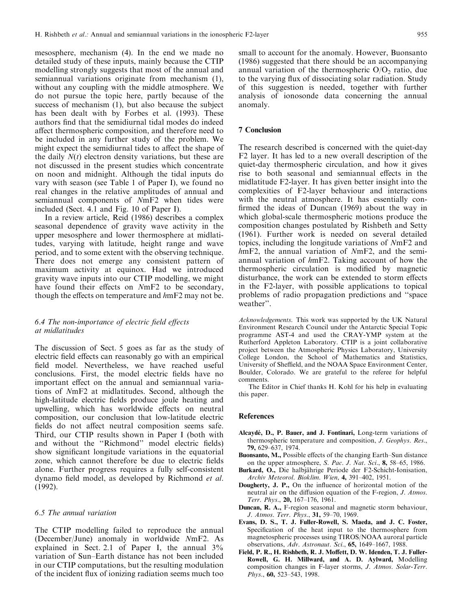mesosphere, mechanism (4). In the end we made no detailed study of these inputs, mainly because the CTIP modelling strongly suggests that most of the annual and semiannual variations originate from mechanism (1), without any coupling with the middle atmosphere. We do not pursue the topic here, partly because of the success of mechanism (1), but also because the subject has been dealt with by Forbes et al. (1993). These authors find that the semidiurnal tidal modes do indeed affect thermospheric composition, and therefore need to be included in any further study of the problem. We might expect the semidiurnal tides to affect the shape of the daily  $N(t)$  electron density variations, but these are not discussed in the present studies which concentrate on noon and midnight. Although the tidal inputs do vary with season (see Table 1 of Paper I), we found no real changes in the relative amplitudes of annual and semiannual components of NmF2 when tides were included (Sect. 4.1 and Fig. 10 of Paper I).

In a review article, Reid (1986) describes a complex seasonal dependence of gravity wave activity in the upper mesosphere and lower thermosphere at midlatitudes, varying with latitude, height range and wave period, and to some extent with the observing technique. There does not emerge any consistent pattern of maximum activity at equinox. Had we introduced gravity wave inputs into our CTIP modelling, we might have found their effects on NmF2 to be secondary, though the effects on temperature and hmF2 may not be.

# 6.4 The non-importance of electric field effects at midlatitudes

The discussion of Sect. 5 goes as far as the study of electric field effects can reasonably go with an empirical field model. Nevertheless, we have reached useful conclusions. First, the model electric fields have no important effect on the annual and semiannual variations of NmF2 at midlatitudes. Second, although the high-latitude electric fields produce joule heating and upwelling, which has worldwide effects on neutral composition, our conclusion that low-latitude electric fields do not affect neutral composition seems safe. Third, our CTIP results shown in Paper I (both with and without the "Richmond" model electric fields) show significant longitude variations in the equatorial zone, which cannot therefore be due to electric fields alone. Further progress requires a fully self-consistent dynamo field model, as developed by Richmond *et al.*  $(1992)$ .

## 6.5 The annual variation

The CTIP modelling failed to reproduce the annual (December/June) anomaly in worldwide NmF2. As explained in Sect. 2.1 of Paper I, the annual  $3\%$ variation of Sun-Earth distance has not been included in our CTIP computations, but the resulting modulation of the incident flux of ionizing radiation seems much too

small to account for the anomaly. However, Buonsanto (1986) suggested that there should be an accompanying annual variation of the thermospheric  $O/O_2$  ratio, due to the varying flux of dissociating solar radiation. Study of this suggestion is needed, together with further analysis of ionosonde data concerning the annual anomaly.

## **7 Conclusion**

The research described is concerned with the quiet-day F2 layer. It has led to a new overall description of the quiet-day thermospheric circulation, and how it gives rise to both seasonal and semiannual effects in the midlatitude F2-layer. It has given better insight into the complexities of F2-layer behaviour and interactions with the neutral atmosphere. It has essentially confirmed the ideas of Duncan (1969) about the way in which global-scale thermospheric motions produce the composition changes postulated by Rishbeth and Setty (1961). Further work is needed on several detailed topics, including the longitude variations of NmF2 and  $hmF2$ , the annual variation of  $NmF2$ , and the semiannual variation of hmF2. Taking account of how the thermospheric circulation is modified by magnetic disturbance, the work can be extended to storm effects in the F2-layer, with possible applications to topical problems of radio propagation predictions and "space" weather".

Acknowledgements. This work was supported by the UK Natural Environment Research Council under the Antarctic Special Topic programme AST-4 and used the CRAY-YMP system at the Rutherford Appleton Laboratory. CTIP is a joint collaborative project between the Atmospheric Physics Laboratory, University College London, the School of Mathematics and Statistics, University of Sheffield, and the NOAA Space Environment Center, Boulder, Colorado. We are grateful to the referee for helpful comments.

The Editor in Chief thanks H. Kohl for his help in evaluating this paper.

#### **References**

- Alcaydé, D., P. Bauer, and J. Fontinari, Long-term variations of thermospheric temperature and composition, J. Geophys. Res., 79, 629-637, 1974.
- Buonsanto, M., Possible effects of the changing Earth–Sun distance on the upper atmosphere, S. Pac. J. Nat. Sci., 8, 58–65, 1986.
- Burkard, O., Die halbjährige Periode der F2-Schicht-Ionisation, Archiv Meteorol. Bioklim. Wien, 4, 391-402, 1951.
- Dougherty, J. P., On the influence of horizontal motion of the neutral air on the diffusion equation of the F-region, J. Atmos. Terr. Phys., 20, 167-176, 1961.
- **Duncan, R. A., F-region seasonal and magnetic storm behaviour,** J. Atmos. Terr. Phys., 31, 59-70, 1969.
- Evans, D. S., T. J. Fuller-Rowell, S. Maeda, and J. C. Foster, Specification of the heat input to the thermosphere from magnetospheric processes using TIROS/NOAA auroral particle observations, Adv. Astronaut. Sci., 65, 1649-1667, 1988.
- Field, P. R., H. Rishbeth, R. J. Moffett, D. W. Idenden, T. J. Fuller-Rowell, G. H. Millward, and A. D. Aylward, Modelling composition changes in F-layer storms, J. Atmos. Solar-Terr. Phys., 60, 523-543, 1998.